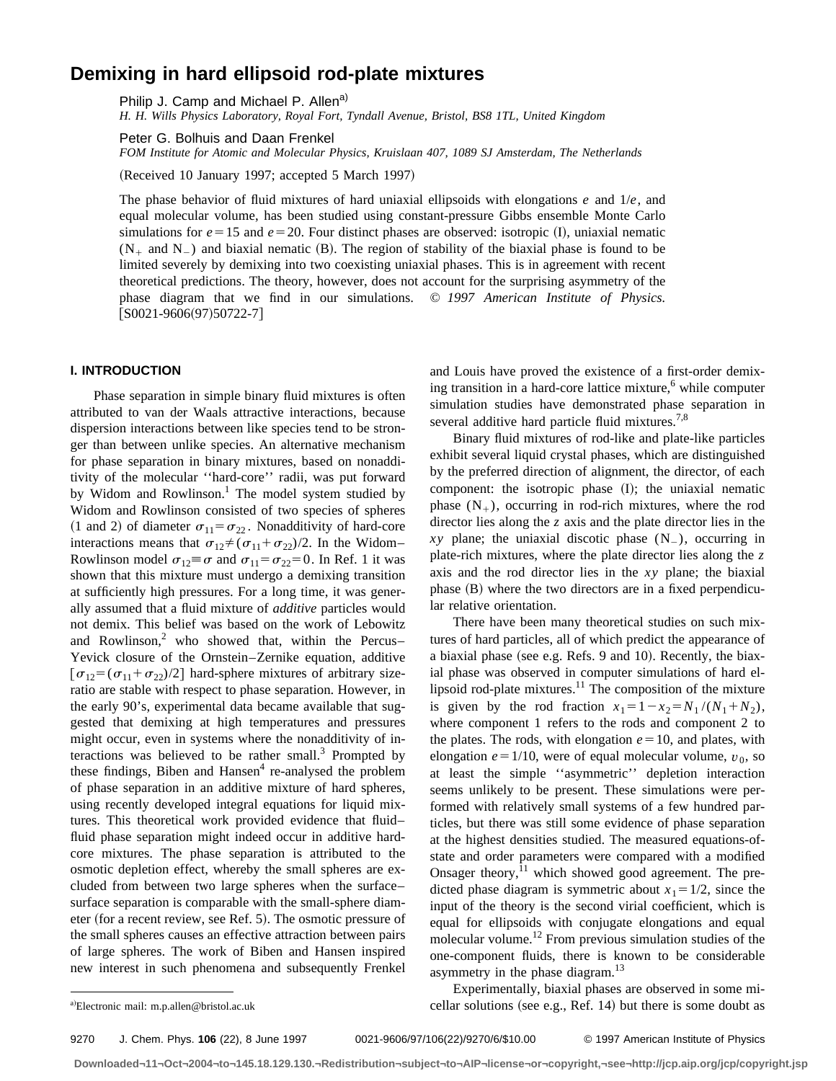# **Demixing in hard ellipsoid rod-plate mixtures**

Philip J. Camp and Michael P. Allen<sup>a)</sup>

*H. H. Wills Physics Laboratory, Royal Fort, Tyndall Avenue, Bristol, BS8 1TL, United Kingdom*

Peter G. Bolhuis and Daan Frenkel

*FOM Institute for Atomic and Molecular Physics, Kruislaan 407, 1089 SJ Amsterdam, The Netherlands*

(Received 10 January 1997; accepted 5 March 1997)

The phase behavior of fluid mixtures of hard uniaxial ellipsoids with elongations *e* and 1/*e*, and equal molecular volume, has been studied using constant-pressure Gibbs ensemble Monte Carlo simulations for  $e=15$  and  $e=20$ . Four distinct phases are observed: isotropic (I), uniaxial nematic  $(N_{+}$  and  $N_{-}$ ) and biaxial nematic (B). The region of stability of the biaxial phase is found to be limited severely by demixing into two coexisting uniaxial phases. This is in agreement with recent theoretical predictions. The theory, however, does not account for the surprising asymmetry of the phase diagram that we find in our simulations. © *1997 American Institute of Physics.*  $[SO021-9606(97)50722-7]$ 

## **I. INTRODUCTION**

Phase separation in simple binary fluid mixtures is often attributed to van der Waals attractive interactions, because dispersion interactions between like species tend to be stronger than between unlike species. An alternative mechanism for phase separation in binary mixtures, based on nonadditivity of the molecular ''hard-core'' radii, was put forward by Widom and Rowlinson.<sup>1</sup> The model system studied by Widom and Rowlinson consisted of two species of spheres (1 and 2) of diameter  $\sigma_{11} = \sigma_{22}$ . Nonadditivity of hard-core interactions means that  $\sigma_{12} \neq (\sigma_{11} + \sigma_{22})/2$ . In the Widom– Rowlinson model  $\sigma_{12} \equiv \sigma$  and  $\sigma_{11} = \sigma_{22} = 0$ . In Ref. 1 it was shown that this mixture must undergo a demixing transition at sufficiently high pressures. For a long time, it was generally assumed that a fluid mixture of *additive* particles would not demix. This belief was based on the work of Lebowitz and Rowlinson,<sup>2</sup> who showed that, within the Percus– Yevick closure of the Ornstein–Zernike equation, additive  $\sigma_{12} = (\sigma_{11} + \sigma_{22})/2$  hard-sphere mixtures of arbitrary sizeratio are stable with respect to phase separation. However, in the early 90's, experimental data became available that suggested that demixing at high temperatures and pressures might occur, even in systems where the nonadditivity of interactions was believed to be rather small. $3$  Prompted by these findings, Biben and Hansen $4$  re-analysed the problem of phase separation in an additive mixture of hard spheres, using recently developed integral equations for liquid mixtures. This theoretical work provided evidence that fluid– fluid phase separation might indeed occur in additive hardcore mixtures. The phase separation is attributed to the osmotic depletion effect, whereby the small spheres are excluded from between two large spheres when the surface– surface separation is comparable with the small-sphere diameter (for a recent review, see Ref. 5). The osmotic pressure of the small spheres causes an effective attraction between pairs of large spheres. The work of Biben and Hansen inspired new interest in such phenomena and subsequently Frenkel and Louis have proved the existence of a first-order demixing transition in a hard-core lattice mixture,<sup>6</sup> while computer simulation studies have demonstrated phase separation in several additive hard particle fluid mixtures.<sup>7,8</sup>

Binary fluid mixtures of rod-like and plate-like particles exhibit several liquid crystal phases, which are distinguished by the preferred direction of alignment, the director, of each component: the isotropic phase  $(1)$ ; the uniaxial nematic phase  $(N_{+})$ , occurring in rod-rich mixtures, where the rod director lies along the *z* axis and the plate director lies in the  $xy$  plane; the uniaxial discotic phase  $(N_$ ), occurring in plate-rich mixtures, where the plate director lies along the *z* axis and the rod director lies in the *xy* plane; the biaxial phase  $(B)$  where the two directors are in a fixed perpendicular relative orientation.

There have been many theoretical studies on such mixtures of hard particles, all of which predict the appearance of a biaxial phase (see e.g. Refs. 9 and 10). Recently, the biaxial phase was observed in computer simulations of hard ellipsoid rod-plate mixtures. $11$  The composition of the mixture is given by the rod fraction  $x_1 = 1 - x_2 = N_1 / (N_1 + N_2)$ , where component 1 refers to the rods and component 2 to the plates. The rods, with elongation  $e=10$ , and plates, with elongation  $e = 1/10$ , were of equal molecular volume,  $v_0$ , so at least the simple ''asymmetric'' depletion interaction seems unlikely to be present. These simulations were performed with relatively small systems of a few hundred particles, but there was still some evidence of phase separation at the highest densities studied. The measured equations-ofstate and order parameters were compared with a modified Onsager theory, $^{11}$  which showed good agreement. The predicted phase diagram is symmetric about  $x_1 = 1/2$ , since the input of the theory is the second virial coefficient, which is equal for ellipsoids with conjugate elongations and equal molecular volume.<sup>12</sup> From previous simulation studies of the one-component fluids, there is known to be considerable asymmetry in the phase diagram.<sup>13</sup>

9270 J. Chem. Phys. **106** (22), 8 June 1997 0021-9606/97/106(22)/9270/6/\$10.00 © 1997 American Institute of Physics

Experimentally, biaxial phases are observed in some micellar solutions (see e.g., Ref. 14) but there is some doubt as

a)Electronic mail: m.p.allen@bristol.ac.uk

**Downloaded¬11¬Oct¬2004¬to¬145.18.129.130.¬Redistribution¬subject¬to¬AIP¬license¬or¬copyright,¬see¬http://jcp.aip.org/jcp/copyright.jsp**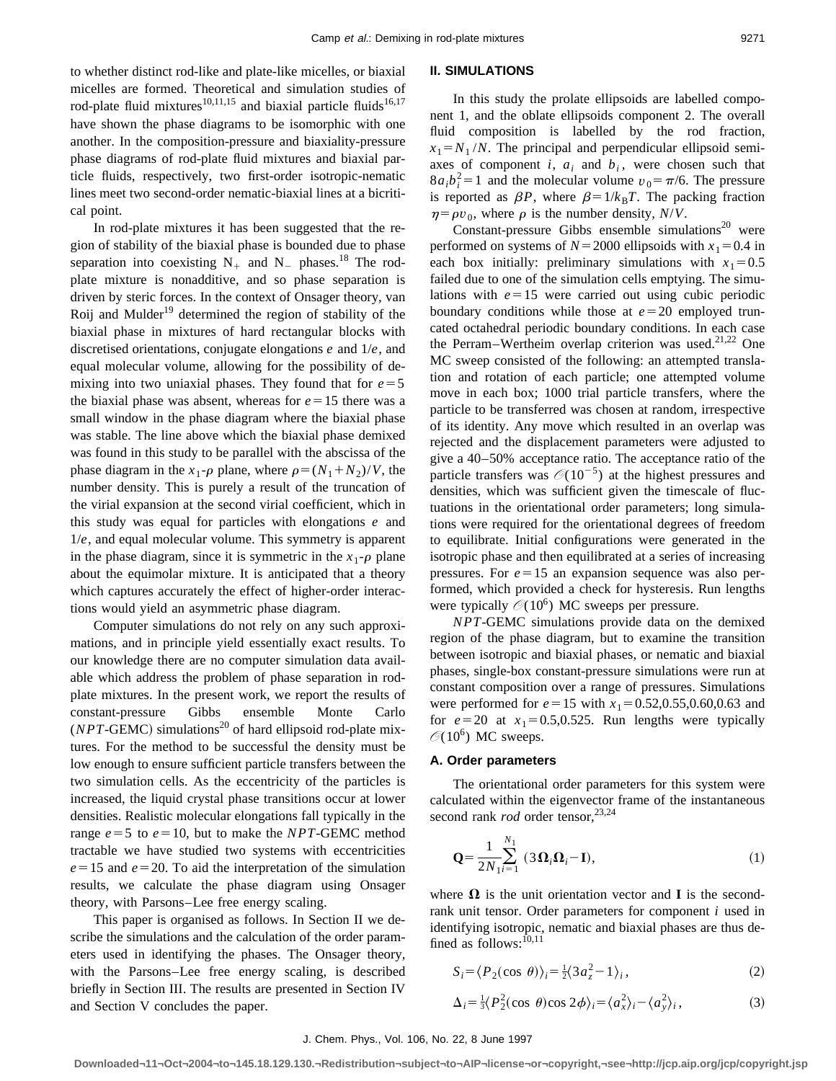to whether distinct rod-like and plate-like micelles, or biaxial micelles are formed. Theoretical and simulation studies of rod-plate fluid mixtures<sup>10,11,15</sup> and biaxial particle fluids<sup>16,17</sup> have shown the phase diagrams to be isomorphic with one another. In the composition-pressure and biaxiality-pressure phase diagrams of rod-plate fluid mixtures and biaxial particle fluids, respectively, two first-order isotropic-nematic lines meet two second-order nematic-biaxial lines at a bicritical point.

In rod-plate mixtures it has been suggested that the region of stability of the biaxial phase is bounded due to phase separation into coexisting  $N_{+}$  and  $N_{-}$  phases.<sup>18</sup> The rodplate mixture is nonadditive, and so phase separation is driven by steric forces. In the context of Onsager theory, van Roij and Mulder<sup>19</sup> determined the region of stability of the biaxial phase in mixtures of hard rectangular blocks with discretised orientations, conjugate elongations *e* and 1/*e*, and equal molecular volume, allowing for the possibility of demixing into two uniaxial phases. They found that for  $e = 5$ the biaxial phase was absent, whereas for  $e=15$  there was a small window in the phase diagram where the biaxial phase was stable. The line above which the biaxial phase demixed was found in this study to be parallel with the abscissa of the phase diagram in the  $x_1$ - $\rho$  plane, where  $\rho = (N_1 + N_2)/V$ , the number density. This is purely a result of the truncation of the virial expansion at the second virial coefficient, which in this study was equal for particles with elongations *e* and 1/*e*, and equal molecular volume. This symmetry is apparent in the phase diagram, since it is symmetric in the  $x_1$ - $\rho$  plane about the equimolar mixture. It is anticipated that a theory which captures accurately the effect of higher-order interactions would yield an asymmetric phase diagram.

Computer simulations do not rely on any such approximations, and in principle yield essentially exact results. To our knowledge there are no computer simulation data available which address the problem of phase separation in rodplate mixtures. In the present work, we report the results of constant-pressure Gibbs ensemble Monte Carlo  $(NPT$ -GEMC) simulations<sup>20</sup> of hard ellipsoid rod-plate mixtures. For the method to be successful the density must be low enough to ensure sufficient particle transfers between the two simulation cells. As the eccentricity of the particles is increased, the liquid crystal phase transitions occur at lower densities. Realistic molecular elongations fall typically in the range  $e = 5$  to  $e = 10$ , but to make the *NPT*-GEMC method tractable we have studied two systems with eccentricities  $e=15$  and  $e=20$ . To aid the interpretation of the simulation results, we calculate the phase diagram using Onsager theory, with Parsons–Lee free energy scaling.

This paper is organised as follows. In Section II we describe the simulations and the calculation of the order parameters used in identifying the phases. The Onsager theory, with the Parsons–Lee free energy scaling, is described briefly in Section III. The results are presented in Section IV and Section V concludes the paper.

#### **II. SIMULATIONS**

In this study the prolate ellipsoids are labelled component 1, and the oblate ellipsoids component 2. The overall fluid composition is labelled by the rod fraction,  $x_1 = N_1 / N$ . The principal and perpendicular ellipsoid semiaxes of component  $i$ ,  $a_i$  and  $b_i$ , were chosen such that  $8a_i b_i^2 = 1$  and the molecular volume  $v_0 = \pi/6$ . The pressure is reported as  $\beta P$ , where  $\beta = 1/k_B T$ . The packing fraction  $\eta = \rho v_0$ , where  $\rho$  is the number density, *N/V*.

Constant-pressure Gibbs ensemble simulations $^{20}$  were performed on systems of  $N=2000$  ellipsoids with  $x_1=0.4$  in each box initially: preliminary simulations with  $x_1=0.5$ failed due to one of the simulation cells emptying. The simulations with  $e=15$  were carried out using cubic periodic boundary conditions while those at  $e=20$  employed truncated octahedral periodic boundary conditions. In each case the Perram–Wertheim overlap criterion was used.<sup>21,22</sup> One MC sweep consisted of the following: an attempted translation and rotation of each particle; one attempted volume move in each box; 1000 trial particle transfers, where the particle to be transferred was chosen at random, irrespective of its identity. Any move which resulted in an overlap was rejected and the displacement parameters were adjusted to give a 40–50% acceptance ratio. The acceptance ratio of the particle transfers was  $\mathcal{O}(10^{-5})$  at the highest pressures and densities, which was sufficient given the timescale of fluctuations in the orientational order parameters; long simulations were required for the orientational degrees of freedom to equilibrate. Initial configurations were generated in the isotropic phase and then equilibrated at a series of increasing pressures. For  $e=15$  an expansion sequence was also performed, which provided a check for hysteresis. Run lengths were typically  $\mathcal{O}(10^6)$  MC sweeps per pressure.

*NPT*-GEMC simulations provide data on the demixed region of the phase diagram, but to examine the transition between isotropic and biaxial phases, or nematic and biaxial phases, single-box constant-pressure simulations were run at constant composition over a range of pressures. Simulations were performed for  $e=15$  with  $x_1=0.52,0.55,0.60,0.63$  and for  $e=20$  at  $x_1=0.5,0.525$ . Run lengths were typically  $\mathcal{O}(10^6)$  MC sweeps.

#### **A. Order parameters**

The orientational order parameters for this system were calculated within the eigenvector frame of the instantaneous second rank *rod* order tensor,<sup>23,24</sup>

$$
\mathbf{Q} = \frac{1}{2N_1i} \sum_{i=1}^{N_1} (3\mathbf{\Omega}_i \mathbf{\Omega}_i - \mathbf{I}),
$$
 (1)

where  $\Omega$  is the unit orientation vector and **I** is the secondrank unit tensor. Order parameters for component *i* used in identifying isotropic, nematic and biaxial phases are thus defined as follows:<sup>10,11</sup>

$$
S_i = \langle P_2(\cos \theta) \rangle_i = \frac{1}{2} \langle 3a_z^2 - 1 \rangle_i, \tag{2}
$$

$$
\Delta_i = \frac{1}{3} \langle P_2^2(\cos \theta) \cos 2\phi \rangle_i = \langle a_x^2 \rangle_i - \langle a_y^2 \rangle_i, \tag{3}
$$

#### J. Chem. Phys., Vol. 106, No. 22, 8 June 1997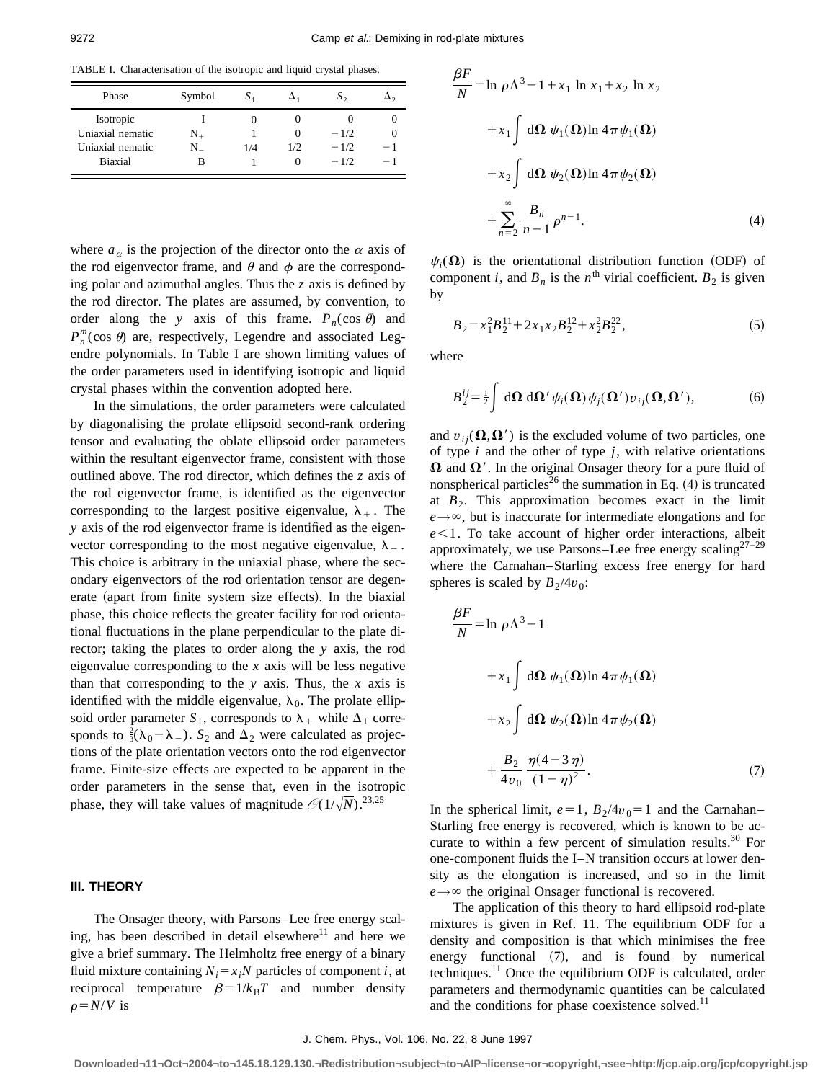TABLE I. Characterisation of the isotropic and liquid crystal phases.

| Phase            | Symbol    | S.  |     | $S_{2}$ |      |
|------------------|-----------|-----|-----|---------|------|
| Isotropic        |           |     |     |         |      |
| Uniaxial nematic | $\rm N_+$ |     | 0   | $-1/2$  |      |
| Uniaxial nematic | N         | 1/4 | 1/2 | $-1/2$  | $-1$ |
| <b>Biaxial</b>   | в         |     | 0   | $-1/2$  | $-1$ |

where  $a_{\alpha}$  is the projection of the director onto the  $\alpha$  axis of the rod eigenvector frame, and  $\theta$  and  $\phi$  are the corresponding polar and azimuthal angles. Thus the *z* axis is defined by the rod director. The plates are assumed, by convention, to order along the *y* axis of this frame.  $P_n(\cos \theta)$  and  $P_n^m(\cos \theta)$  are, respectively, Legendre and associated Legendre polynomials. In Table I are shown limiting values of the order parameters used in identifying isotropic and liquid crystal phases within the convention adopted here.

In the simulations, the order parameters were calculated by diagonalising the prolate ellipsoid second-rank ordering tensor and evaluating the oblate ellipsoid order parameters within the resultant eigenvector frame, consistent with those outlined above. The rod director, which defines the *z* axis of the rod eigenvector frame, is identified as the eigenvector corresponding to the largest positive eigenvalue,  $\lambda_+$ . The *y* axis of the rod eigenvector frame is identified as the eigenvector corresponding to the most negative eigenvalue,  $\lambda_{-}$ . This choice is arbitrary in the uniaxial phase, where the secondary eigenvectors of the rod orientation tensor are degenerate (apart from finite system size effects). In the biaxial phase, this choice reflects the greater facility for rod orientational fluctuations in the plane perpendicular to the plate director; taking the plates to order along the *y* axis, the rod eigenvalue corresponding to the *x* axis will be less negative than that corresponding to the *y* axis. Thus, the *x* axis is identified with the middle eigenvalue,  $\lambda_0$ . The prolate ellipsoid order parameter  $S_1$ , corresponds to  $\lambda_+$  while  $\Delta_1$  corresponds to  $\frac{2}{3}(\lambda_0 - \lambda_-)$ . S<sub>2</sub> and  $\Delta_2$  were calculated as projections of the plate orientation vectors onto the rod eigenvector frame. Finite-size effects are expected to be apparent in the order parameters in the sense that, even in the isotropic phase, they will take values of magnitude  $\mathcal{O}(1/\sqrt{N})$ .<sup>23,25</sup>

## **III. THEORY**

The Onsager theory, with Parsons–Lee free energy scaling, has been described in detail elsewhere<sup>11</sup> and here we give a brief summary. The Helmholtz free energy of a binary fluid mixture containing  $N_i = x_iN$  particles of component *i*, at reciprocal temperature  $\beta=1/k_BT$  and number density  $\rho = N/V$  is

$$
\frac{\beta F}{N} = \ln \rho \Lambda^3 - 1 + x_1 \ln x_1 + x_2 \ln x_2
$$
  
+  $x_1 \int d\Omega \psi_1(\Omega) \ln 4\pi \psi_1(\Omega)$   
+  $x_2 \int d\Omega \psi_2(\Omega) \ln 4\pi \psi_2(\Omega)$   
+  $\sum_{n=2}^{\infty} \frac{B_n}{n-1} \rho^{n-1}.$  (4)

 $\psi_i(\Omega)$  is the orientational distribution function (ODF) of component *i*, and  $B_n$  is the *n*<sup>th</sup> virial coefficient.  $B_2$  is given by

$$
B_2 = x_1^2 B_2^{11} + 2x_1 x_2 B_2^{12} + x_2^2 B_2^{22},
$$
\n<sup>(5)</sup>

where

$$
B_2^{ij} = \frac{1}{2} \int d\mathbf{\Omega} d\mathbf{\Omega}' \psi_i(\mathbf{\Omega}) \psi_j(\mathbf{\Omega}') v_{ij}(\mathbf{\Omega}, \mathbf{\Omega}'), \tag{6}
$$

and  $v_{ii}(\Omega,\Omega')$  is the excluded volume of two particles, one of type *i* and the other of type *j*, with relative orientations  $\Omega$  and  $\Omega'$ . In the original Onsager theory for a pure fluid of nonspherical particles<sup>26</sup> the summation in Eq.  $(4)$  is truncated at  $B_2$ . This approximation becomes exact in the limit  $e \rightarrow \infty$ , but is inaccurate for intermediate elongations and for  $e<1$ . To take account of higher order interactions, albeit approximately, we use Parsons–Lee free energy scaling $27-29$ where the Carnahan–Starling excess free energy for hard spheres is scaled by  $B_2/4v_0$ :

$$
\frac{\beta F}{N} = \ln \rho \Lambda^3 - 1
$$
  
+ $x_1 \int d\Omega \psi_1(\Omega) \ln 4\pi \psi_1(\Omega)$   
+ $x_2 \int d\Omega \psi_2(\Omega) \ln 4\pi \psi_2(\Omega)$   
+ $\frac{B_2}{4v_0} \frac{\eta(4-3\eta)}{(1-\eta)^2}$ . (7)

In the spherical limit,  $e=1$ ,  $B_2/4v_0=1$  and the Carnahan– Starling free energy is recovered, which is known to be accurate to within a few percent of simulation results.<sup>30</sup> For one-component fluids the I–N transition occurs at lower density as the elongation is increased, and so in the limit  $e \rightarrow \infty$  the original Onsager functional is recovered.

The application of this theory to hard ellipsoid rod-plate mixtures is given in Ref. 11. The equilibrium ODF for a density and composition is that which minimises the free energy functional  $(7)$ , and is found by numerical techniques.<sup>11</sup> Once the equilibrium ODF is calculated, order parameters and thermodynamic quantities can be calculated and the conditions for phase coexistence solved.<sup>11</sup>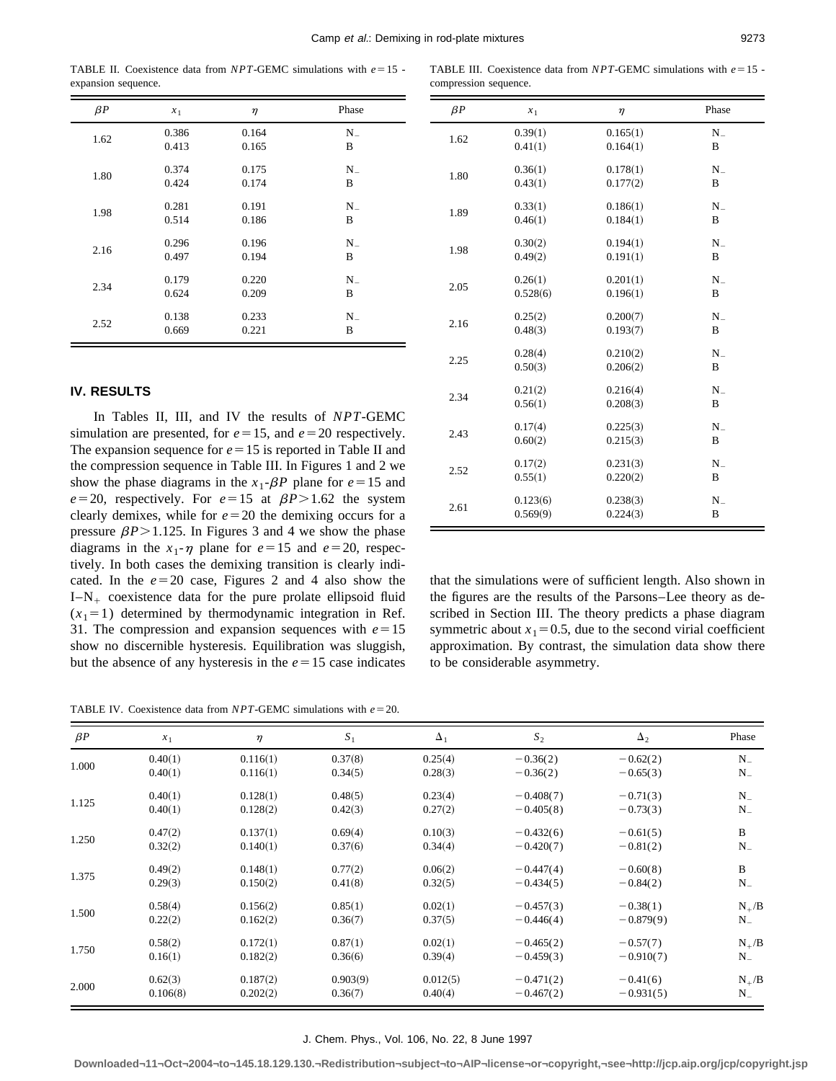compression sequence.

TABLE II. Coexistence data from  $NPT$ -GEMC simulations with  $e=15$  expansion sequence.

| $\beta P$ | $x_1$ | $\eta$ | Phase   |
|-----------|-------|--------|---------|
| 1.62      | 0.386 | 0.164  | $N_{-}$ |
|           | 0.413 | 0.165  | B       |
| 1.80      | 0.374 | 0.175  | $N_{-}$ |
|           | 0.424 | 0.174  | B       |
| 1.98      | 0.281 | 0.191  | $N_{-}$ |
|           | 0.514 | 0.186  | B       |
| 2.16      | 0.296 | 0.196  | $N_{-}$ |
|           | 0.497 | 0.194  | B       |
| 2.34      | 0.179 | 0.220  | N.      |
|           | 0.624 | 0.209  | B       |
| 2.52      | 0.138 | 0.233  | $N_{-}$ |
|           | 0.669 | 0.221  | B       |

## **IV. RESULTS**

In Tables II, III, and IV the results of *NPT*-GEMC simulation are presented, for  $e=15$ , and  $e=20$  respectively. The expansion sequence for  $e=15$  is reported in Table II and the compression sequence in Table III. In Figures 1 and 2 we show the phase diagrams in the  $x_1$ - $\beta P$  plane for  $e=15$  and  $e=20$ , respectively. For  $e=15$  at  $\beta P>1.62$  the system clearly demixes, while for  $e=20$  the demixing occurs for a pressure  $\beta P$ >1.125. In Figures 3 and 4 we show the phase diagrams in the  $x_1$ - $\eta$  plane for  $e=15$  and  $e=20$ , respectively. In both cases the demixing transition is clearly indicated. In the  $e=20$  case, Figures 2 and 4 also show the  $I-N_+$  coexistence data for the pure prolate ellipsoid fluid  $(x_1=1)$  determined by thermodynamic integration in Ref. 31. The compression and expansion sequences with  $e=15$ show no discernible hysteresis. Equilibration was sluggish, but the absence of any hysteresis in the  $e=15$  case indicates

1.80  $0.36(1)$   $0.178(1)$   $N_{-}$  $0.43(1)$   $0.177(2)$  B 1.89  $0.33(1)$   $0.186(1)$   $N_{-}$ <br>0.184(1)  $0.184(1)$   $R_{-}$  $0.46(1)$   $0.184(1)$  B 1.98  $0.30(2)$   $0.194(1)$   $N_{-}$  $0.49(2)$   $0.191(1)$  B 2.05  $0.26(1)$   $0.201(1)$   $N_{-}$ 0.528 $(6)$  0.196 $(1)$  B 2.16  $0.25(2)$   $0.200(7)$  N<sub>-</sub> 0.48(3)  $0.193(7)$  B 2.25  $0.28(4)$   $0.210(2)$   $N =$  $0.50(3)$   $0.206(2)$  B 2.34  $0.21(2)$   $0.216(4)$   $N =$  $0.56(1)$   $0.208(3)$  B 2.43  $0.17(4)$   $0.225(3)$  N<sub>-</sub> 0.60(2) 0.215(3) B 2.52  $0.17(2)$   $0.231(3)$   $N_{-}$  $0.55(1)$   $0.220(2)$  B 2.61 0.123(6) 0.238(3)  $N =$ <br>0.560(0) 0.234(3)  $N =$  $0.569(9)$   $0.224(3)$  B

TABLE III. Coexistence data from  $NPT$ -GEMC simulations with  $e=15$  -

 $\beta P$   $x_1$   $\eta$  Phase 1.62  $0.39(1)$   $0.165(1)$   $N_{-}$ 

0.41(1)  $0.164(1)$  B

that the simulations were of sufficient length. Also shown in the figures are the results of the Parsons–Lee theory as described in Section III. The theory predicts a phase diagram symmetric about  $x_1=0.5$ , due to the second virial coefficient approximation. By contrast, the simulation data show there to be considerable asymmetry.

TABLE IV. Coexistence data from  $NPT$ -GEMC simulations with  $e=20$ .

| $\beta P$ | $x_1$    | $\eta$   | $\boldsymbol{S}_1$ | $\Delta_1$ | $\boldsymbol{S}_2$ | $\Delta_2$  | Phase        |
|-----------|----------|----------|--------------------|------------|--------------------|-------------|--------------|
| 1.000     | 0.40(1)  | 0.116(1) | 0.37(8)            | 0.25(4)    | $-0.36(2)$         | $-0.62(2)$  | $N_{-}$      |
|           | 0.40(1)  | 0.116(1) | 0.34(5)            | 0.28(3)    | $-0.36(2)$         | $-0.65(3)$  | $N_{-}$      |
| 1.125     | 0.40(1)  | 0.128(1) | 0.48(5)            | 0.23(4)    | $-0.408(7)$        | $-0.71(3)$  | $N_{-}$      |
|           | 0.40(1)  | 0.128(2) | 0.42(3)            | 0.27(2)    | $-0.405(8)$        | $-0.73(3)$  | $N_{-}$      |
| 1.250     | 0.47(2)  | 0.137(1) | 0.69(4)            | 0.10(3)    | $-0.432(6)$        | $-0.61(5)$  | $\, {\bf B}$ |
|           | 0.32(2)  | 0.140(1) | 0.37(6)            | 0.34(4)    | $-0.420(7)$        | $-0.81(2)$  | $N_{-}$      |
| 1.375     | 0.49(2)  | 0.148(1) | 0.77(2)            | 0.06(2)    | $-0.447(4)$        | $-0.60(8)$  | $\, {\bf B}$ |
|           | 0.29(3)  | 0.150(2) | 0.41(8)            | 0.32(5)    | $-0.434(5)$        | $-0.84(2)$  | $N_{-}$      |
| 1.500     | 0.58(4)  | 0.156(2) | 0.85(1)            | 0.02(1)    | $-0.457(3)$        | $-0.38(1)$  | $N_{+}/B$    |
|           | 0.22(2)  | 0.162(2) | 0.36(7)            | 0.37(5)    | $-0.446(4)$        | $-0.879(9)$ | $N_{-}$      |
| 1.750     | 0.58(2)  | 0.172(1) | 0.87(1)            | 0.02(1)    | $-0.465(2)$        | $-0.57(7)$  | $N_{+}/B$    |
|           | 0.16(1)  | 0.182(2) | 0.36(6)            | 0.39(4)    | $-0.459(3)$        | $-0.910(7)$ | $N_{-}$      |
| 2.000     | 0.62(3)  | 0.187(2) | 0.903(9)           | 0.012(5)   | $-0.471(2)$        | $-0.41(6)$  | $N_{+}/B$    |
|           | 0.106(8) | 0.202(2) | 0.36(7)            | 0.40(4)    | $-0.467(2)$        | $-0.931(5)$ | $N_{-}$      |

J. Chem. Phys., Vol. 106, No. 22, 8 June 1997

**Downloaded¬11¬Oct¬2004¬to¬145.18.129.130.¬Redistribution¬subject¬to¬AIP¬license¬or¬copyright,¬see¬http://jcp.aip.org/jcp/copyright.jsp**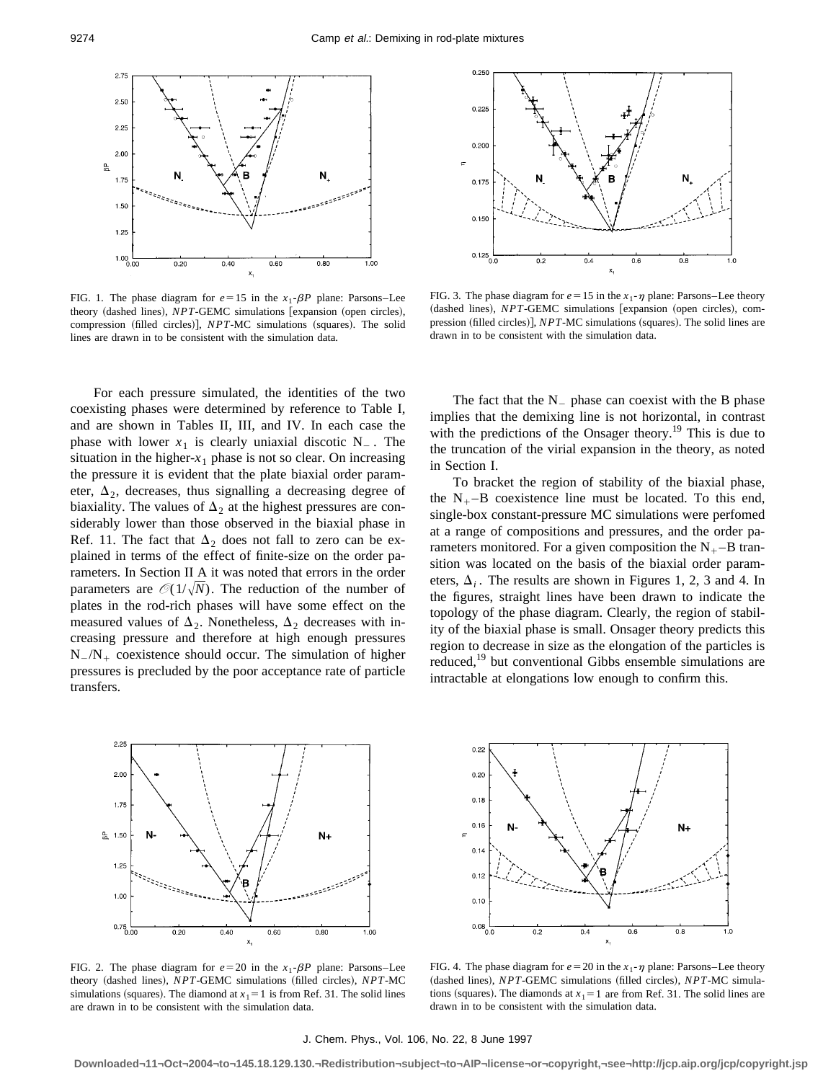

FIG. 1. The phase diagram for  $e=15$  in the  $x_1$ - $\beta P$  plane: Parsons–Lee theory (dashed lines), *NPT*-GEMC simulations [expansion (open circles), compression (filled circles)], *NPT*-MC simulations (squares). The solid lines are drawn in to be consistent with the simulation data.

For each pressure simulated, the identities of the two coexisting phases were determined by reference to Table I, and are shown in Tables II, III, and IV. In each case the phase with lower  $x_1$  is clearly uniaxial discotic  $N_{-}$ . The situation in the higher- $x_1$  phase is not so clear. On increasing the pressure it is evident that the plate biaxial order parameter,  $\Delta_2$ , decreases, thus signalling a decreasing degree of biaxiality. The values of  $\Delta_2$  at the highest pressures are considerably lower than those observed in the biaxial phase in Ref. 11. The fact that  $\Delta_2$  does not fall to zero can be explained in terms of the effect of finite-size on the order parameters. In Section II A it was noted that errors in the order parameters are  $\mathcal{O}(1/\sqrt{N})$ . The reduction of the number of plates in the rod-rich phases will have some effect on the measured values of  $\Delta_2$ . Nonetheless,  $\Delta_2$  decreases with increasing pressure and therefore at high enough pressures  $N_{-}/N_{+}$  coexistence should occur. The simulation of higher pressures is precluded by the poor acceptance rate of particle transfers.



FIG. 2. The phase diagram for  $e=20$  in the  $x_1$ - $\beta P$  plane: Parsons–Lee theory (dashed lines), *NPT*-GEMC simulations (filled circles), *NPT*-MC simulations (squares). The diamond at  $x_1 = 1$  is from Ref. 31. The solid lines are drawn in to be consistent with the simulation data.



FIG. 3. The phase diagram for  $e=15$  in the  $x_1$ - $\eta$  plane: Parsons–Lee theory (dashed lines), *NPT*-GEMC simulations [expansion (open circles), compression (filled circles)], *NPT*-MC simulations (squares). The solid lines are drawn in to be consistent with the simulation data.

The fact that the  $N_{-}$  phase can coexist with the B phase implies that the demixing line is not horizontal, in contrast with the predictions of the Onsager theory.<sup>19</sup> This is due to the truncation of the virial expansion in the theory, as noted in Section I.

To bracket the region of stability of the biaxial phase, the  $N_{+}$ -B coexistence line must be located. To this end, single-box constant-pressure MC simulations were perfomed at a range of compositions and pressures, and the order parameters monitored. For a given composition the  $N_{+}$ -B transition was located on the basis of the biaxial order parameters,  $\Delta_i$ . The results are shown in Figures 1, 2, 3 and 4. In the figures, straight lines have been drawn to indicate the topology of the phase diagram. Clearly, the region of stability of the biaxial phase is small. Onsager theory predicts this region to decrease in size as the elongation of the particles is reduced,<sup>19</sup> but conventional Gibbs ensemble simulations are intractable at elongations low enough to confirm this.



FIG. 4. The phase diagram for  $e = 20$  in the  $x_1$ - $\eta$  plane: Parsons–Lee theory (dashed lines), *NPT*-GEMC simulations (filled circles), *NPT*-MC simulations (squares). The diamonds at  $x_1 = 1$  are from Ref. 31. The solid lines are drawn in to be consistent with the simulation data.